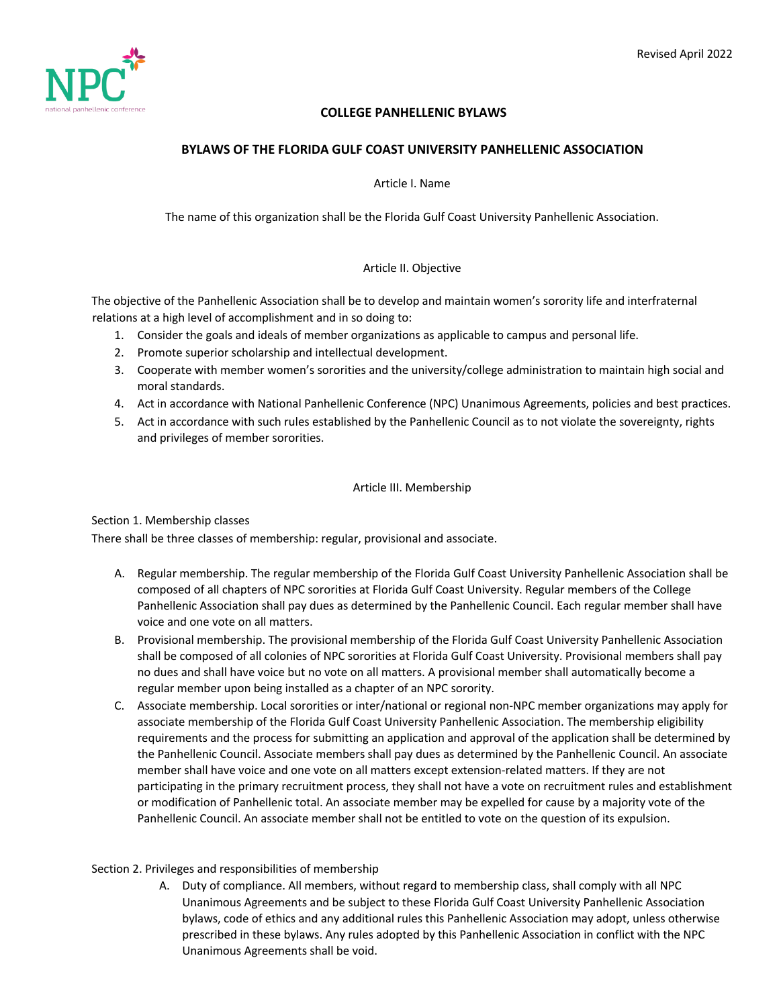

# **COLLEGE PANHELLENIC BYLAWS**

# **BYLAWS OF THE FLORIDA GULF COAST UNIVERSITY PANHELLENIC ASSOCIATION**

Article I. Name

The name of this organization shall be the Florida Gulf Coast University Panhellenic Association.

# Article II. Objective

The objective of the Panhellenic Association shall be to develop and maintain women's sorority life and interfraternal relations at a high level of accomplishment and in so doing to:

- 1. Consider the goals and ideals of member organizations as applicable to campus and personal life.
- 2. Promote superior scholarship and intellectual development.
- 3. Cooperate with member women's sororities and the university/college administration to maintain high social and moral standards.
- 4. Act in accordance with National Panhellenic Conference (NPC) Unanimous Agreements, policies and best practices.
- 5. Act in accordance with such rules established by the Panhellenic Council as to not violate the sovereignty, rights and privileges of member sororities.

# Article III. Membership

Section 1. Membership classes

There shall be three classes of membership: regular, provisional and associate.

- A. Regular membership. The regular membership of the Florida Gulf Coast University Panhellenic Association shall be composed of all chapters of NPC sororities at Florida Gulf Coast University. Regular members of the College Panhellenic Association shall pay dues as determined by the Panhellenic Council. Each regular member shall have voice and one vote on all matters.
- B. Provisional membership. The provisional membership of the Florida Gulf Coast University Panhellenic Association shall be composed of all colonies of NPC sororities at Florida Gulf Coast University. Provisional members shall pay no dues and shall have voice but no vote on all matters. A provisional member shall automatically become a regular member upon being installed as a chapter of an NPC sorority.
- C. Associate membership. Local sororities or inter/national or regional non-NPC member organizations may apply for associate membership of the Florida Gulf Coast University Panhellenic Association. The membership eligibility requirements and the process for submitting an application and approval of the application shall be determined by the Panhellenic Council. Associate members shall pay dues as determined by the Panhellenic Council. An associate member shall have voice and one vote on all matters except extension-related matters. If they are not participating in the primary recruitment process, they shall not have a vote on recruitment rules and establishment or modification of Panhellenic total. An associate member may be expelled for cause by a majority vote of the Panhellenic Council. An associate member shall not be entitled to vote on the question of its expulsion.

# Section 2. Privileges and responsibilities of membership

A. Duty of compliance. All members, without regard to membership class, shall comply with all NPC Unanimous Agreements and be subject to these Florida Gulf Coast University Panhellenic Association bylaws, code of ethics and any additional rules this Panhellenic Association may adopt, unless otherwise prescribed in these bylaws. Any rules adopted by this Panhellenic Association in conflict with the NPC Unanimous Agreements shall be void.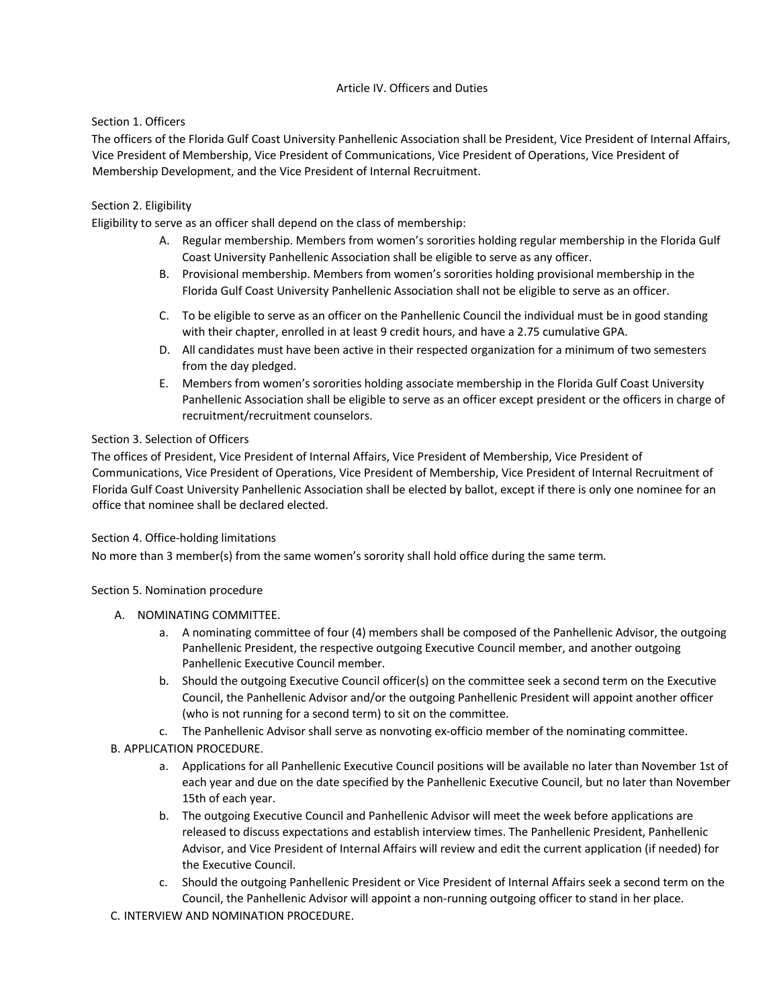# Article IV. Officers and Duties

# Section 1. Officers

The officers of the Florida Gulf Coast University Panhellenic Association shall be President, Vice President of Internal Affairs, Vice President of Membership, Vice President of Communications, Vice President of Operations, Vice President of Membership Development, and the Vice President of Internal Recruitment.

# Section 2. Eligibility

Eligibility to serve as an officer shall depend on the class of membership:

- A. Regular membership. Members from women's sororities holding regular membership in the Florida Gulf Coast University Panhellenic Association shall be eligible to serve as any officer.
- B. Provisional membership. Members from women's sororities holding provisional membership in the Florida Gulf Coast University Panhellenic Association shall not be eligible to serve as an officer.
- C. To be eligible to serve as an officer on the Panhellenic Council the individual must be in good standing with their chapter, enrolled in at least 9 credit hours, and have a 2.75 cumulative GPA.
- D. All candidates must have been active in their respected organization for a minimum of two semesters from the day pledged.
- E. Members from women's sororities holding associate membership in the Florida Gulf Coast University Panhellenic Association shall be eligible to serve as an officer except president or the officers in charge of recruitment/recruitment counselors.

# Section 3. Selection of Officers

The offices of President, Vice President of Internal Affairs, Vice President of Membership, Vice President of Communications, Vice President of Operations, Vice President of Membership, Vice President of Internal Recruitment of Florida Gulf Coast University Panhellenic Association shall be elected by ballot, except if there is only one nominee for an office that nominee shall be declared elected.

# Section 4. Office-holding limitations

No more than 3 member(s) from the same women's sorority shall hold office during the same term*.*

# Section 5. Nomination procedure

- A. NOMINATING COMMITTEE.
	- a. A nominating committee of four (4) members shall be composed of the Panhellenic Advisor, the outgoing Panhellenic President, the respective outgoing Executive Council member, and another outgoing Panhellenic Executive Council member.
	- b. Should the outgoing Executive Council officer(s) on the committee seek a second term on the Executive Council, the Panhellenic Advisor and/or the outgoing Panhellenic President will appoint another officer (who is not running for a second term) to sit on the committee.
	- c. The Panhellenic Advisor shall serve as nonvoting ex-officio member of the nominating committee.
- B. APPLICATION PROCEDURE.
	- a. Applications for all Panhellenic Executive Council positions will be available no later than November 1st of each year and due on the date specified by the Panhellenic Executive Council, but no later than November 15th of each year.
	- b. The outgoing Executive Council and Panhellenic Advisor will meet the week before applications are released to discuss expectations and establish interview times. The Panhellenic President, Panhellenic Advisor, and Vice President of Internal Affairs will review and edit the current application (if needed) for the Executive Council.
	- c. Should the outgoing Panhellenic President or Vice President of Internal Affairs seek a second term on the Council, the Panhellenic Advisor will appoint a non-running outgoing officer to stand in her place.
- C. INTERVIEW AND NOMINATION PROCEDURE.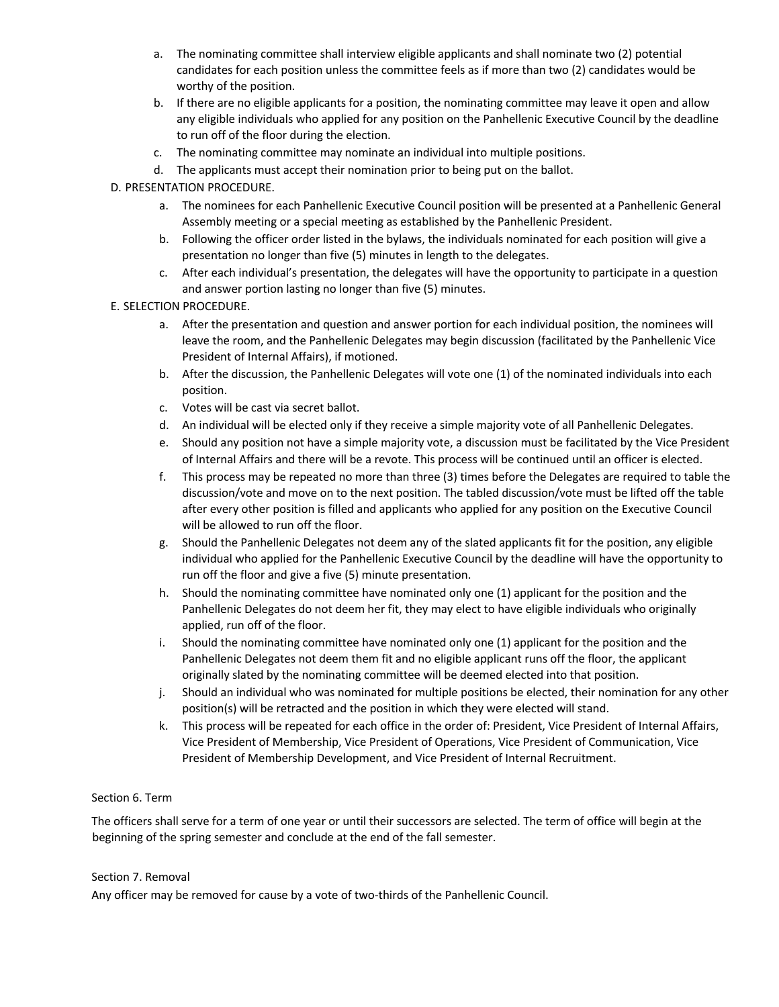- a. The nominating committee shall interview eligible applicants and shall nominate two (2) potential candidates for each position unless the committee feels as if more than two (2) candidates would be worthy of the position.
- b. If there are no eligible applicants for a position, the nominating committee may leave it open and allow any eligible individuals who applied for any position on the Panhellenic Executive Council by the deadline to run off of the floor during the election.
- c. The nominating committee may nominate an individual into multiple positions.
- d. The applicants must accept their nomination prior to being put on the ballot.
- D. PRESENTATION PROCEDURE.
	- a. The nominees for each Panhellenic Executive Council position will be presented at a Panhellenic General Assembly meeting or a special meeting as established by the Panhellenic President.
	- b. Following the officer order listed in the bylaws, the individuals nominated for each position will give a presentation no longer than five (5) minutes in length to the delegates.
	- c. After each individual's presentation, the delegates will have the opportunity to participate in a question and answer portion lasting no longer than five (5) minutes.
- E. SELECTION PROCEDURE.
	- a. After the presentation and question and answer portion for each individual position, the nominees will leave the room, and the Panhellenic Delegates may begin discussion (facilitated by the Panhellenic Vice President of Internal Affairs), if motioned.
	- b. After the discussion, the Panhellenic Delegates will vote one (1) of the nominated individuals into each position.
	- c. Votes will be cast via secret ballot.
	- d. An individual will be elected only if they receive a simple majority vote of all Panhellenic Delegates.
	- e. Should any position not have a simple majority vote, a discussion must be facilitated by the Vice President of Internal Affairs and there will be a revote. This process will be continued until an officer is elected.
	- f. This process may be repeated no more than three (3) times before the Delegates are required to table the discussion/vote and move on to the next position. The tabled discussion/vote must be lifted off the table after every other position is filled and applicants who applied for any position on the Executive Council will be allowed to run off the floor.
	- g. Should the Panhellenic Delegates not deem any of the slated applicants fit for the position, any eligible individual who applied for the Panhellenic Executive Council by the deadline will have the opportunity to run off the floor and give a five (5) minute presentation.
	- h. Should the nominating committee have nominated only one (1) applicant for the position and the Panhellenic Delegates do not deem her fit, they may elect to have eligible individuals who originally applied, run off of the floor.
	- i. Should the nominating committee have nominated only one (1) applicant for the position and the Panhellenic Delegates not deem them fit and no eligible applicant runs off the floor, the applicant originally slated by the nominating committee will be deemed elected into that position.
	- j. Should an individual who was nominated for multiple positions be elected, their nomination for any other position(s) will be retracted and the position in which they were elected will stand.
	- k. This process will be repeated for each office in the order of: President, Vice President of Internal Affairs, Vice President of Membership, Vice President of Operations, Vice President of Communication, Vice President of Membership Development, and Vice President of Internal Recruitment.

# Section 6. Term

The officers shall serve for a term of one year or until their successors are selected. The term of office will begin at the beginning of the spring semester and conclude at the end of the fall semester.

# Section 7. Removal

Any officer may be removed for cause by a vote of two-thirds of the Panhellenic Council.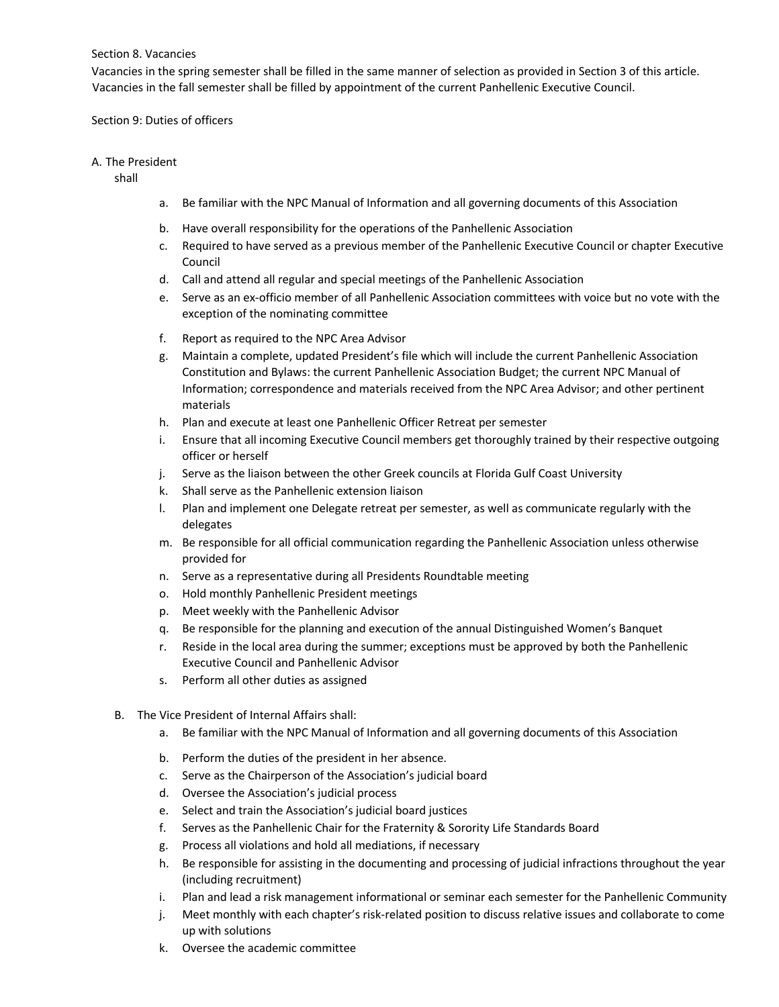### Section 8. Vacancies

Vacancies in the spring semester shall be filled in the same manner of selection as provided in Section 3 of this article. Vacancies in the fall semester shall be filled by appointment of the current Panhellenic Executive Council.

### Section 9: Duties of officers

### A. The President

shall

- a. Be familiar with the NPC Manual of Information and all governing documents of this Association
- b. Have overall responsibility for the operations of the Panhellenic Association
- c. Required to have served as a previous member of the Panhellenic Executive Council or chapter Executive Council
- d. Call and attend all regular and special meetings of the Panhellenic Association
- e. Serve as an ex-officio member of all Panhellenic Association committees with voice but no vote with the exception of the nominating committee
- f. Report as required to the NPC Area Advisor
- g. Maintain a complete, updated President's file which will include the current Panhellenic Association Constitution and Bylaws: the current Panhellenic Association Budget; the current NPC Manual of Information; correspondence and materials received from the NPC Area Advisor; and other pertinent materials
- h. Plan and execute at least one Panhellenic Officer Retreat per semester
- i. Ensure that all incoming Executive Council members get thoroughly trained by their respective outgoing officer or herself
- j. Serve as the liaison between the other Greek councils at Florida Gulf Coast University
- k. Shall serve as the Panhellenic extension liaison
- l. Plan and implement one Delegate retreat per semester, as well as communicate regularly with the delegates
- m. Be responsible for all official communication regarding the Panhellenic Association unless otherwise provided for
- n. Serve as a representative during all Presidents Roundtable meeting
- o. Hold monthly Panhellenic President meetings
- p. Meet weekly with the Panhellenic Advisor
- q. Be responsible for the planning and execution of the annual Distinguished Women's Banquet
- r. Reside in the local area during the summer; exceptions must be approved by both the Panhellenic Executive Council and Panhellenic Advisor
- s. Perform all other duties as assigned
- B. The Vice President of Internal Affairs shall:
	- a. Be familiar with the NPC Manual of Information and all governing documents of this Association
	- b. Perform the duties of the president in her absence.
	- c. Serve as the Chairperson of the Association's judicial board
	- d. Oversee the Association's judicial process
	- e. Select and train the Association's judicial board justices
	- f. Serves as the Panhellenic Chair for the Fraternity & Sorority Life Standards Board
	- g. Process all violations and hold all mediations, if necessary
	- h. Be responsible for assisting in the documenting and processing of judicial infractions throughout the year (including recruitment)
	- i. Plan and lead a risk management informational or seminar each semester for the Panhellenic Community
	- j. Meet monthly with each chapter's risk-related position to discuss relative issues and collaborate to come up with solutions
	- k. Oversee the academic committee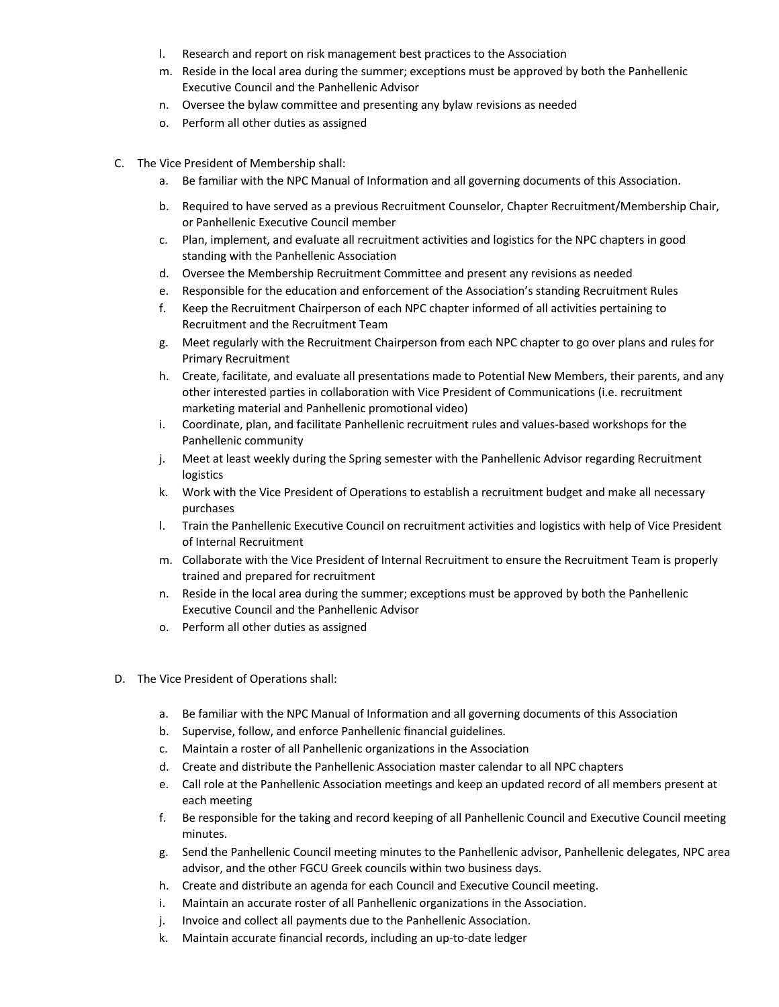- l. Research and report on risk management best practices to the Association
- m. Reside in the local area during the summer; exceptions must be approved by both the Panhellenic Executive Council and the Panhellenic Advisor
- n. Oversee the bylaw committee and presenting any bylaw revisions as needed
- o. Perform all other duties as assigned
- C. The Vice President of Membership shall:
	- a. Be familiar with the NPC Manual of Information and all governing documents of this Association.
	- b. Required to have served as a previous Recruitment Counselor, Chapter Recruitment/Membership Chair, or Panhellenic Executive Council member
	- c. Plan, implement, and evaluate all recruitment activities and logistics for the NPC chapters in good standing with the Panhellenic Association
	- d. Oversee the Membership Recruitment Committee and present any revisions as needed
	- e. Responsible for the education and enforcement of the Association's standing Recruitment Rules
	- f. Keep the Recruitment Chairperson of each NPC chapter informed of all activities pertaining to Recruitment and the Recruitment Team
	- g. Meet regularly with the Recruitment Chairperson from each NPC chapter to go over plans and rules for Primary Recruitment
	- h. Create, facilitate, and evaluate all presentations made to Potential New Members, their parents, and any other interested parties in collaboration with Vice President of Communications (i.e. recruitment marketing material and Panhellenic promotional video)
	- i. Coordinate, plan, and facilitate Panhellenic recruitment rules and values-based workshops for the Panhellenic community
	- j. Meet at least weekly during the Spring semester with the Panhellenic Advisor regarding Recruitment logistics
	- k. Work with the Vice President of Operations to establish a recruitment budget and make all necessary purchases
	- l. Train the Panhellenic Executive Council on recruitment activities and logistics with help of Vice President of Internal Recruitment
	- m. Collaborate with the Vice President of Internal Recruitment to ensure the Recruitment Team is properly trained and prepared for recruitment
	- n. Reside in the local area during the summer; exceptions must be approved by both the Panhellenic Executive Council and the Panhellenic Advisor
	- o. Perform all other duties as assigned
- D. The Vice President of Operations shall:
	- a. Be familiar with the NPC Manual of Information and all governing documents of this Association
	- b. Supervise, follow, and enforce Panhellenic financial guidelines.
	- c. Maintain a roster of all Panhellenic organizations in the Association
	- d. Create and distribute the Panhellenic Association master calendar to all NPC chapters
	- e. Call role at the Panhellenic Association meetings and keep an updated record of all members present at each meeting
	- f. Be responsible for the taking and record keeping of all Panhellenic Council and Executive Council meeting minutes.
	- g. Send the Panhellenic Council meeting minutes to the Panhellenic advisor, Panhellenic delegates, NPC area advisor, and the other FGCU Greek councils within two business days.
	- h. Create and distribute an agenda for each Council and Executive Council meeting.
	- i. Maintain an accurate roster of all Panhellenic organizations in the Association.
	- j. Invoice and collect all payments due to the Panhellenic Association.
	- k. Maintain accurate financial records, including an up-to-date ledger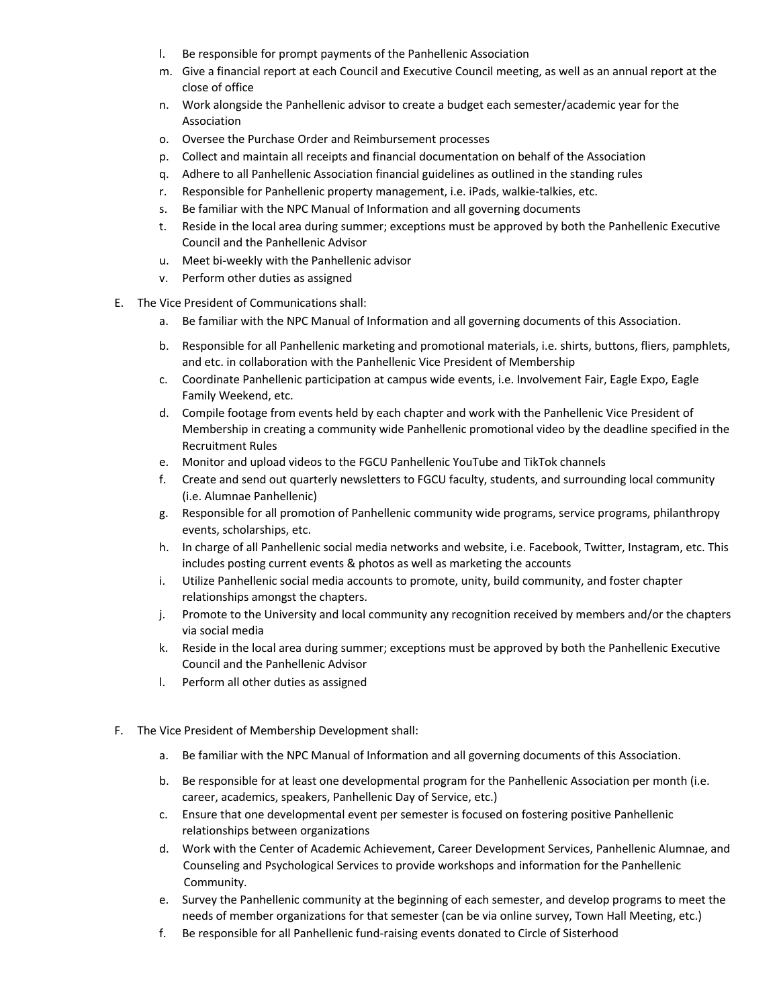- l. Be responsible for prompt payments of the Panhellenic Association
- m. Give a financial report at each Council and Executive Council meeting, as well as an annual report at the close of office
- n. Work alongside the Panhellenic advisor to create a budget each semester/academic year for the Association
- o. Oversee the Purchase Order and Reimbursement processes
- p. Collect and maintain all receipts and financial documentation on behalf of the Association
- q. Adhere to all Panhellenic Association financial guidelines as outlined in the standing rules
- r. Responsible for Panhellenic property management, i.e. iPads, walkie-talkies, etc.
- s. Be familiar with the NPC Manual of Information and all governing documents
- t. Reside in the local area during summer; exceptions must be approved by both the Panhellenic Executive Council and the Panhellenic Advisor
- u. Meet bi-weekly with the Panhellenic advisor
- v. Perform other duties as assigned
- E. The Vice President of Communications shall:
	- a. Be familiar with the NPC Manual of Information and all governing documents of this Association.
	- b. Responsible for all Panhellenic marketing and promotional materials, i.e. shirts, buttons, fliers, pamphlets, and etc. in collaboration with the Panhellenic Vice President of Membership
	- c. Coordinate Panhellenic participation at campus wide events, i.e. Involvement Fair, Eagle Expo, Eagle Family Weekend, etc.
	- d. Compile footage from events held by each chapter and work with the Panhellenic Vice President of Membership in creating a community wide Panhellenic promotional video by the deadline specified in the Recruitment Rules
	- e. Monitor and upload videos to the FGCU Panhellenic YouTube and TikTok channels
	- f. Create and send out quarterly newsletters to FGCU faculty, students, and surrounding local community (i.e. Alumnae Panhellenic)
	- g. Responsible for all promotion of Panhellenic community wide programs, service programs, philanthropy events, scholarships, etc.
	- h. In charge of all Panhellenic social media networks and website, i.e. Facebook, Twitter, Instagram, etc. This includes posting current events & photos as well as marketing the accounts
	- i. Utilize Panhellenic social media accounts to promote, unity, build community, and foster chapter relationships amongst the chapters.
	- j. Promote to the University and local community any recognition received by members and/or the chapters via social media
	- k. Reside in the local area during summer; exceptions must be approved by both the Panhellenic Executive Council and the Panhellenic Advisor
	- l. Perform all other duties as assigned
- F. The Vice President of Membership Development shall:
	- a. Be familiar with the NPC Manual of Information and all governing documents of this Association.
	- b. Be responsible for at least one developmental program for the Panhellenic Association per month (i.e. career, academics, speakers, Panhellenic Day of Service, etc.)
	- c. Ensure that one developmental event per semester is focused on fostering positive Panhellenic relationships between organizations
	- d. Work with the Center of Academic Achievement, Career Development Services, Panhellenic Alumnae, and Counseling and Psychological Services to provide workshops and information for the Panhellenic Community.
	- e. Survey the Panhellenic community at the beginning of each semester, and develop programs to meet the needs of member organizations for that semester (can be via online survey, Town Hall Meeting, etc.)
	- f. Be responsible for all Panhellenic fund-raising events donated to Circle of Sisterhood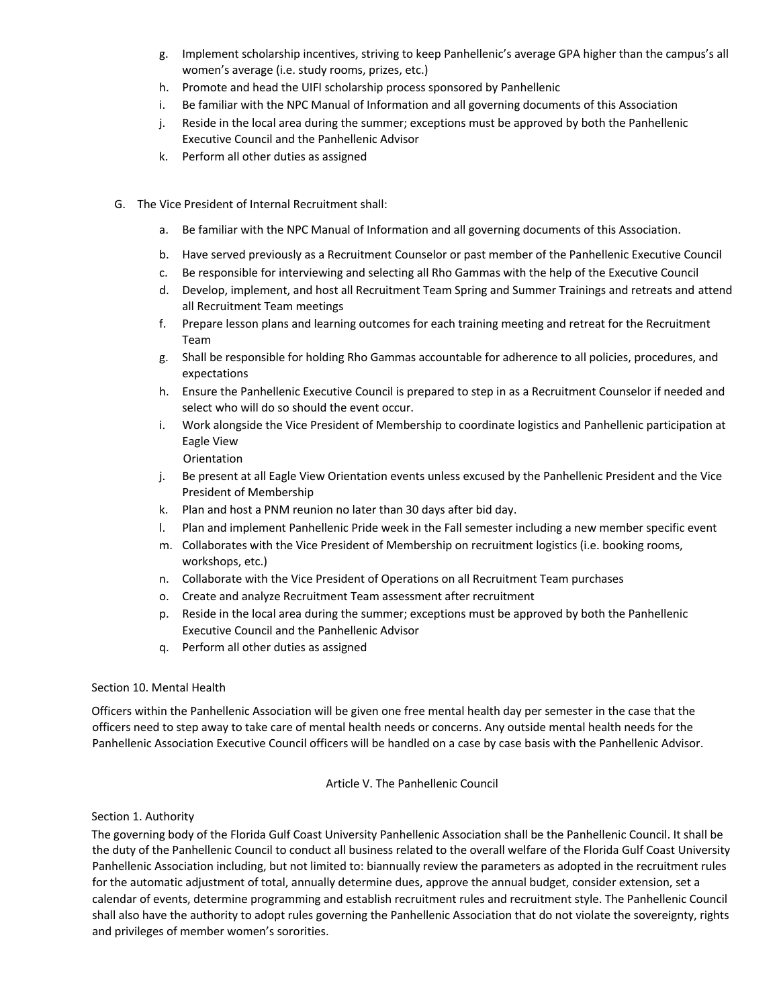- g. Implement scholarship incentives, striving to keep Panhellenic's average GPA higher than the campus's all women's average (i.e. study rooms, prizes, etc.)
- h. Promote and head the UIFI scholarship process sponsored by Panhellenic
- i. Be familiar with the NPC Manual of Information and all governing documents of this Association
- j. Reside in the local area during the summer; exceptions must be approved by both the Panhellenic Executive Council and the Panhellenic Advisor
- k. Perform all other duties as assigned
- G. The Vice President of Internal Recruitment shall:
	- a. Be familiar with the NPC Manual of Information and all governing documents of this Association.
	- b. Have served previously as a Recruitment Counselor or past member of the Panhellenic Executive Council
	- c. Be responsible for interviewing and selecting all Rho Gammas with the help of the Executive Council
	- d. Develop, implement, and host all Recruitment Team Spring and Summer Trainings and retreats and attend all Recruitment Team meetings
	- f. Prepare lesson plans and learning outcomes for each training meeting and retreat for the Recruitment Team
	- g. Shall be responsible for holding Rho Gammas accountable for adherence to all policies, procedures, and expectations
	- h. Ensure the Panhellenic Executive Council is prepared to step in as a Recruitment Counselor if needed and select who will do so should the event occur.
	- i. Work alongside the Vice President of Membership to coordinate logistics and Panhellenic participation at Eagle View

**Orientation** 

- j. Be present at all Eagle View Orientation events unless excused by the Panhellenic President and the Vice President of Membership
- k. Plan and host a PNM reunion no later than 30 days after bid day.
- l. Plan and implement Panhellenic Pride week in the Fall semester including a new member specific event
- m. Collaborates with the Vice President of Membership on recruitment logistics (i.e. booking rooms, workshops, etc.)
- n. Collaborate with the Vice President of Operations on all Recruitment Team purchases
- o. Create and analyze Recruitment Team assessment after recruitment
- p. Reside in the local area during the summer; exceptions must be approved by both the Panhellenic Executive Council and the Panhellenic Advisor
- q. Perform all other duties as assigned

# Section 10. Mental Health

Officers within the Panhellenic Association will be given one free mental health day per semester in the case that the officers need to step away to take care of mental health needs or concerns. Any outside mental health needs for the Panhellenic Association Executive Council officers will be handled on a case by case basis with the Panhellenic Advisor.

# Article V. The Panhellenic Council

# Section 1. Authority

The governing body of the Florida Gulf Coast University Panhellenic Association shall be the Panhellenic Council. It shall be the duty of the Panhellenic Council to conduct all business related to the overall welfare of the Florida Gulf Coast University Panhellenic Association including, but not limited to: biannually review the parameters as adopted in the recruitment rules for the automatic adjustment of total, annually determine dues, approve the annual budget, consider extension, set a calendar of events, determine programming and establish recruitment rules and recruitment style. The Panhellenic Council shall also have the authority to adopt rules governing the Panhellenic Association that do not violate the sovereignty, rights and privileges of member women's sororities.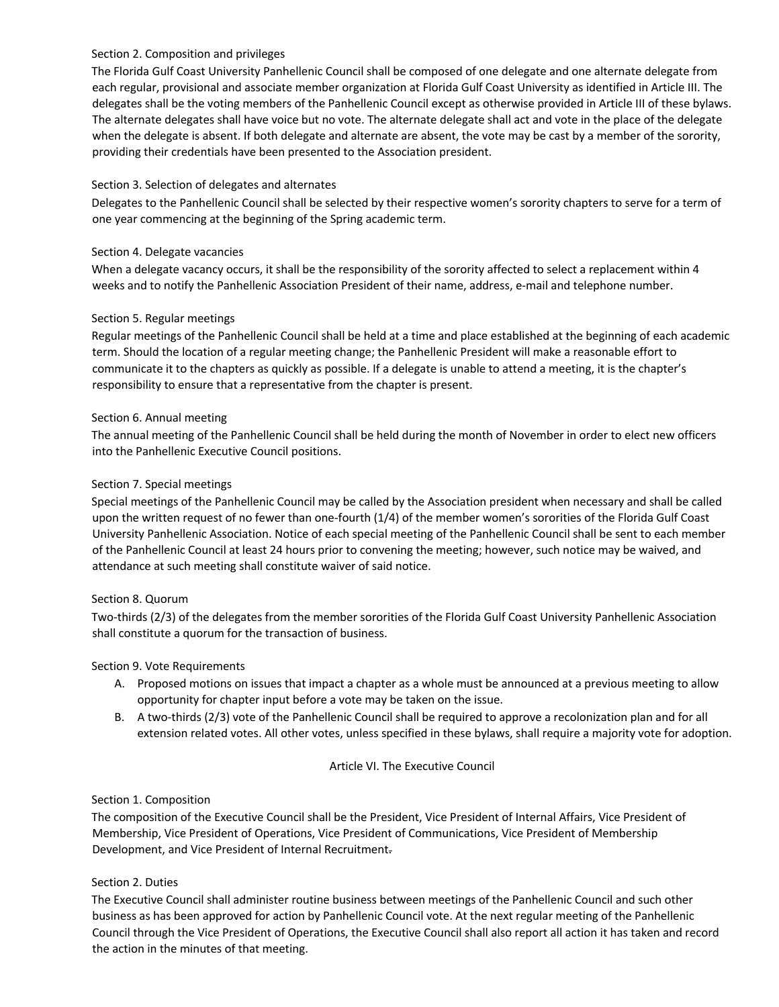# Section 2. Composition and privileges

The Florida Gulf Coast University Panhellenic Council shall be composed of one delegate and one alternate delegate from each regular, provisional and associate member organization at Florida Gulf Coast University as identified in Article III. The delegates shall be the voting members of the Panhellenic Council except as otherwise provided in Article III of these bylaws. The alternate delegates shall have voice but no vote. The alternate delegate shall act and vote in the place of the delegate when the delegate is absent. If both delegate and alternate are absent, the vote may be cast by a member of the sorority, providing their credentials have been presented to the Association president.

# Section 3. Selection of delegates and alternates

Delegates to the Panhellenic Council shall be selected by their respective women's sorority chapters to serve for a term of one year commencing at the beginning of the Spring academic term.

# Section 4. Delegate vacancies

When a delegate vacancy occurs, it shall be the responsibility of the sorority affected to select a replacement within 4 weeks and to notify the Panhellenic Association President of their name, address, e-mail and telephone number.

# Section 5. Regular meetings

Regular meetings of the Panhellenic Council shall be held at a time and place established at the beginning of each academic term. Should the location of a regular meeting change; the Panhellenic President will make a reasonable effort to communicate it to the chapters as quickly as possible. If a delegate is unable to attend a meeting, it is the chapter's responsibility to ensure that a representative from the chapter is present.

# Section 6. Annual meeting

The annual meeting of the Panhellenic Council shall be held during the month of November in order to elect new officers into the Panhellenic Executive Council positions.

# Section 7. Special meetings

Special meetings of the Panhellenic Council may be called by the Association president when necessary and shall be called upon the written request of no fewer than one-fourth (1/4) of the member women's sororities of the Florida Gulf Coast University Panhellenic Association. Notice of each special meeting of the Panhellenic Council shall be sent to each member of the Panhellenic Council at least 24 hours prior to convening the meeting; however, such notice may be waived, and attendance at such meeting shall constitute waiver of said notice.

# Section 8. Quorum

Two-thirds (2/3) of the delegates from the member sororities of the Florida Gulf Coast University Panhellenic Association shall constitute a quorum for the transaction of business.

# Section 9. Vote Requirements

- A. Proposed motions on issues that impact a chapter as a whole must be announced at a previous meeting to allow opportunity for chapter input before a vote may be taken on the issue.
- B. A two-thirds (2/3) vote of the Panhellenic Council shall be required to approve a recolonization plan and for all extension related votes. All other votes, unless specified in these bylaws, shall require a majority vote for adoption.

# Article VI. The Executive Council

# Section 1. Composition

The composition of the Executive Council shall be the President, Vice President of Internal Affairs, Vice President of Membership, Vice President of Operations, Vice President of Communications, Vice President of Membership Development, and Vice President of Internal Recruitment.

# Section 2. Duties

The Executive Council shall administer routine business between meetings of the Panhellenic Council and such other business as has been approved for action by Panhellenic Council vote. At the next regular meeting of the Panhellenic Council through the Vice President of Operations, the Executive Council shall also report all action it has taken and record the action in the minutes of that meeting.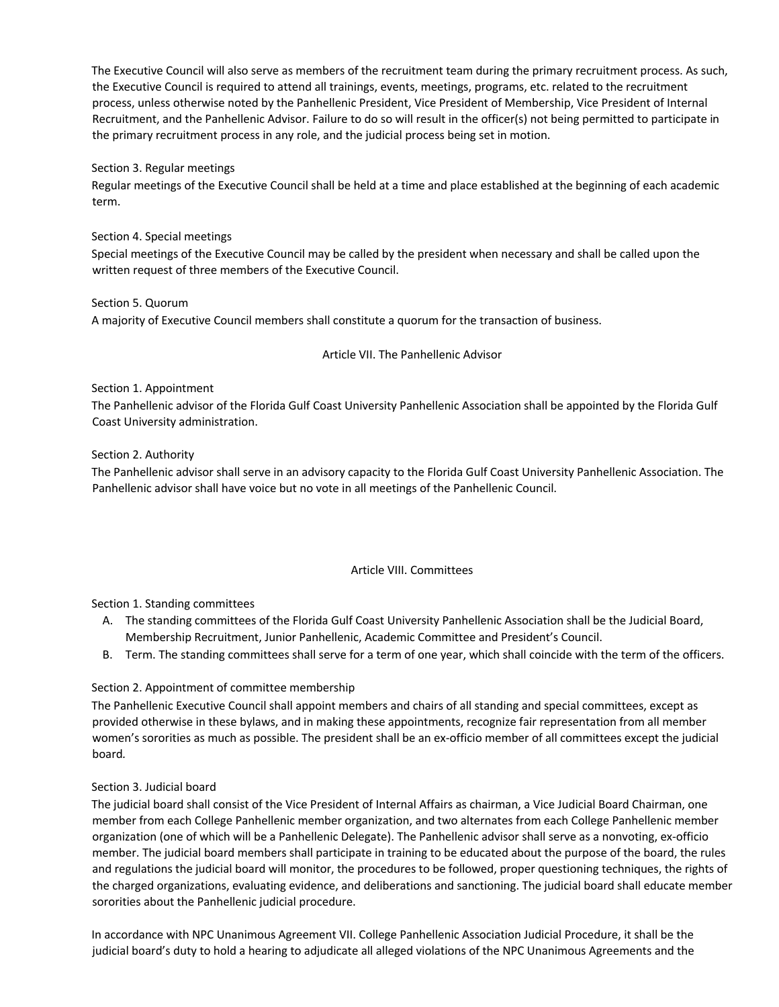The Executive Council will also serve as members of the recruitment team during the primary recruitment process. As such, the Executive Council is required to attend all trainings, events, meetings, programs, etc. related to the recruitment process, unless otherwise noted by the Panhellenic President, Vice President of Membership, Vice President of Internal Recruitment, and the Panhellenic Advisor. Failure to do so will result in the officer(s) not being permitted to participate in the primary recruitment process in any role, and the judicial process being set in motion.

### Section 3. Regular meetings

Regular meetings of the Executive Council shall be held at a time and place established at the beginning of each academic term.

#### Section 4. Special meetings

Special meetings of the Executive Council may be called by the president when necessary and shall be called upon the written request of three members of the Executive Council.

Section 5. Quorum A majority of Executive Council members shall constitute a quorum for the transaction of business.

Article VII. The Panhellenic Advisor

### Section 1. Appointment

The Panhellenic advisor of the Florida Gulf Coast University Panhellenic Association shall be appointed by the Florida Gulf Coast University administration.

### Section 2. Authority

The Panhellenic advisor shall serve in an advisory capacity to the Florida Gulf Coast University Panhellenic Association. The Panhellenic advisor shall have voice but no vote in all meetings of the Panhellenic Council.

#### Article VIII. Committees

# Section 1. Standing committees

- A. The standing committees of the Florida Gulf Coast University Panhellenic Association shall be the Judicial Board, Membership Recruitment, Junior Panhellenic, Academic Committee and President's Council.
- B. Term. The standing committees shall serve for a term of one year, which shall coincide with the term of the officers.

# Section 2. Appointment of committee membership

The Panhellenic Executive Council shall appoint members and chairs of all standing and special committees, except as provided otherwise in these bylaws, and in making these appointments, recognize fair representation from all member women's sororities as much as possible. The president shall be an ex-officio member of all committees except the judicial board*.*

#### Section 3. Judicial board

The judicial board shall consist of the Vice President of Internal Affairs as chairman, a Vice Judicial Board Chairman, one member from each College Panhellenic member organization, and two alternates from each College Panhellenic member organization (one of which will be a Panhellenic Delegate). The Panhellenic advisor shall serve as a nonvoting, ex-officio member. The judicial board members shall participate in training to be educated about the purpose of the board, the rules and regulations the judicial board will monitor, the procedures to be followed, proper questioning techniques, the rights of the charged organizations, evaluating evidence, and deliberations and sanctioning. The judicial board shall educate member sororities about the Panhellenic judicial procedure.

In accordance with NPC Unanimous Agreement VII. College Panhellenic Association Judicial Procedure, it shall be the judicial board's duty to hold a hearing to adjudicate all alleged violations of the NPC Unanimous Agreements and the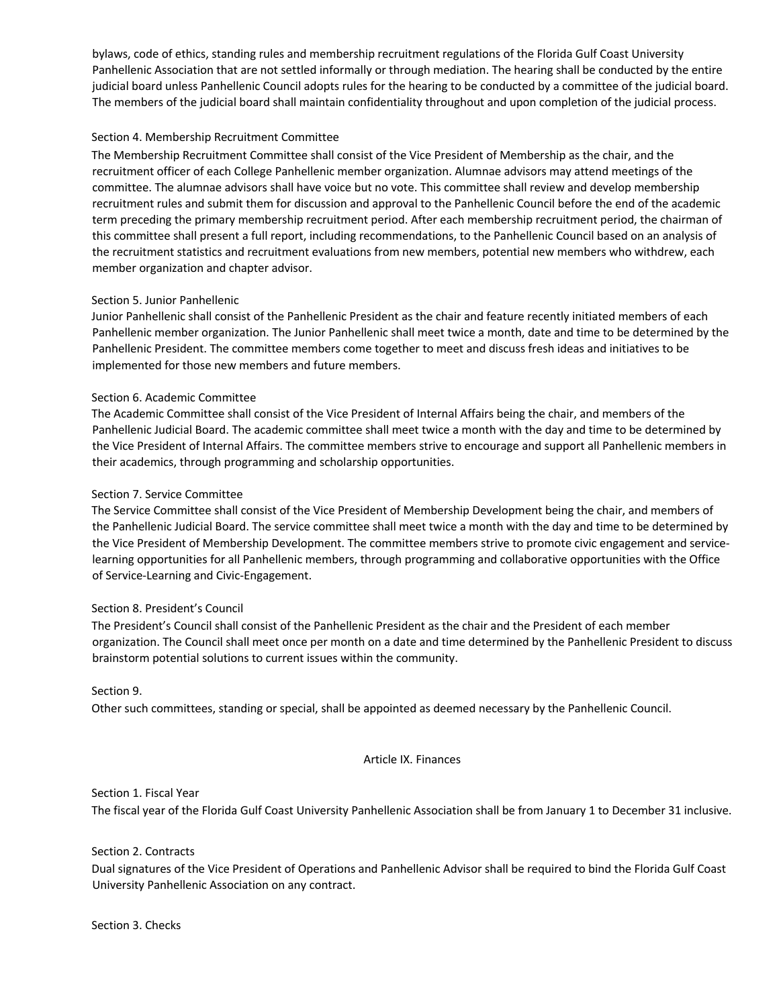bylaws, code of ethics, standing rules and membership recruitment regulations of the Florida Gulf Coast University Panhellenic Association that are not settled informally or through mediation. The hearing shall be conducted by the entire judicial board unless Panhellenic Council adopts rules for the hearing to be conducted by a committee of the judicial board. The members of the judicial board shall maintain confidentiality throughout and upon completion of the judicial process.

### Section 4. Membership Recruitment Committee

The Membership Recruitment Committee shall consist of the Vice President of Membership as the chair, and the recruitment officer of each College Panhellenic member organization. Alumnae advisors may attend meetings of the committee. The alumnae advisors shall have voice but no vote. This committee shall review and develop membership recruitment rules and submit them for discussion and approval to the Panhellenic Council before the end of the academic term preceding the primary membership recruitment period. After each membership recruitment period, the chairman of this committee shall present a full report, including recommendations, to the Panhellenic Council based on an analysis of the recruitment statistics and recruitment evaluations from new members, potential new members who withdrew, each member organization and chapter advisor.

#### Section 5. Junior Panhellenic

Junior Panhellenic shall consist of the Panhellenic President as the chair and feature recently initiated members of each Panhellenic member organization. The Junior Panhellenic shall meet twice a month, date and time to be determined by the Panhellenic President. The committee members come together to meet and discuss fresh ideas and initiatives to be implemented for those new members and future members.

### Section 6. Academic Committee

The Academic Committee shall consist of the Vice President of Internal Affairs being the chair, and members of the Panhellenic Judicial Board. The academic committee shall meet twice a month with the day and time to be determined by the Vice President of Internal Affairs. The committee members strive to encourage and support all Panhellenic members in their academics, through programming and scholarship opportunities.

#### Section 7. Service Committee

The Service Committee shall consist of the Vice President of Membership Development being the chair, and members of the Panhellenic Judicial Board. The service committee shall meet twice a month with the day and time to be determined by the Vice President of Membership Development. The committee members strive to promote civic engagement and servicelearning opportunities for all Panhellenic members, through programming and collaborative opportunities with the Office of Service-Learning and Civic-Engagement.

#### Section 8. President's Council

The President's Council shall consist of the Panhellenic President as the chair and the President of each member organization. The Council shall meet once per month on a date and time determined by the Panhellenic President to discuss brainstorm potential solutions to current issues within the community.

#### Section 9.

Other such committees, standing or special, shall be appointed as deemed necessary by the Panhellenic Council.

#### Article IX. Finances

Section 1. Fiscal Year The fiscal year of the Florida Gulf Coast University Panhellenic Association shall be from January 1 to December 31 inclusive.

#### Section 2. Contracts

Dual signatures of the Vice President of Operations and Panhellenic Advisor shall be required to bind the Florida Gulf Coast University Panhellenic Association on any contract.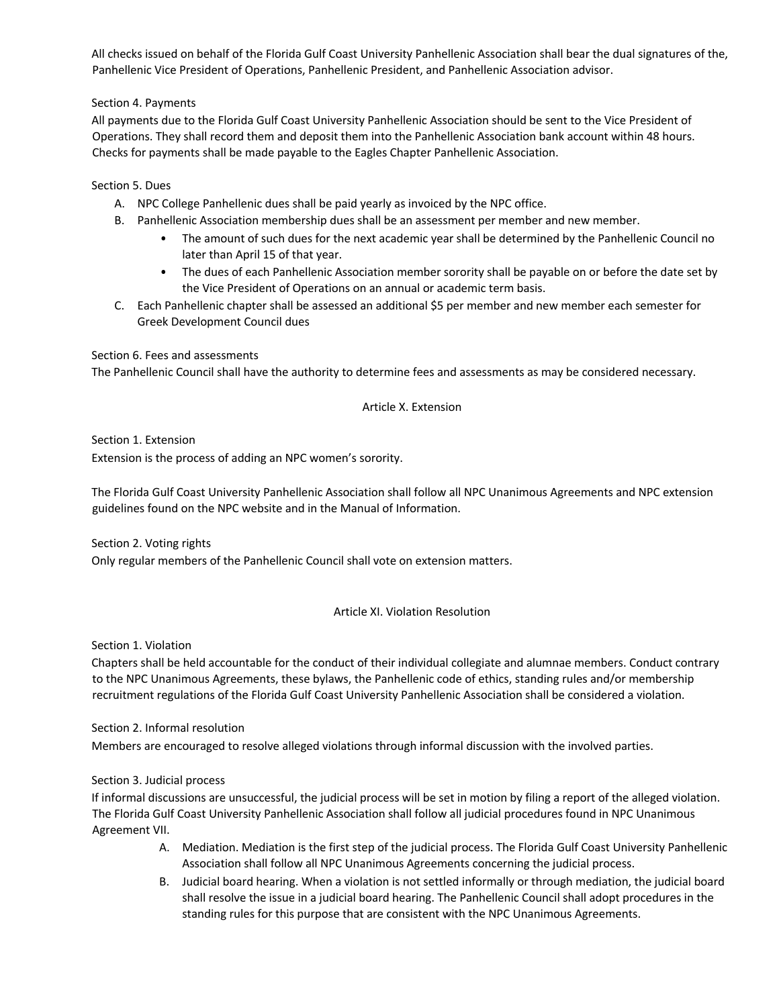All checks issued on behalf of the Florida Gulf Coast University Panhellenic Association shall bear the dual signatures of the, Panhellenic Vice President of Operations, Panhellenic President, and Panhellenic Association advisor.

# Section 4. Payments

All payments due to the Florida Gulf Coast University Panhellenic Association should be sent to the Vice President of Operations. They shall record them and deposit them into the Panhellenic Association bank account within 48 hours. Checks for payments shall be made payable to the Eagles Chapter Panhellenic Association.

# Section 5. Dues

- A. NPC College Panhellenic dues shall be paid yearly as invoiced by the NPC office.
- B. Panhellenic Association membership dues shall be an assessment per member and new member.
	- The amount of such dues for the next academic year shall be determined by the Panhellenic Council no later than April 15 of that year.
	- The dues of each Panhellenic Association member sorority shall be payable on or before the date set by the Vice President of Operations on an annual or academic term basis.
- C. Each Panhellenic chapter shall be assessed an additional \$5 per member and new member each semester for Greek Development Council dues

# Section 6. Fees and assessments

The Panhellenic Council shall have the authority to determine fees and assessments as may be considered necessary.

# Article X. Extension

Section 1. Extension Extension is the process of adding an NPC women's sorority.

The Florida Gulf Coast University Panhellenic Association shall follow all NPC Unanimous Agreements and NPC extension guidelines found on the NPC website and in the Manual of Information.

Section 2. Voting rights

Only regular members of the Panhellenic Council shall vote on extension matters.

# Article XI. Violation Resolution

Section 1. Violation

Chapters shall be held accountable for the conduct of their individual collegiate and alumnae members. Conduct contrary to the NPC Unanimous Agreements, these bylaws, the Panhellenic code of ethics, standing rules and/or membership recruitment regulations of the Florida Gulf Coast University Panhellenic Association shall be considered a violation.

Section 2. Informal resolution Members are encouraged to resolve alleged violations through informal discussion with the involved parties.

# Section 3. Judicial process

If informal discussions are unsuccessful, the judicial process will be set in motion by filing a report of the alleged violation. The Florida Gulf Coast University Panhellenic Association shall follow all judicial procedures found in NPC Unanimous Agreement VII.

- A. Mediation. Mediation is the first step of the judicial process. The Florida Gulf Coast University Panhellenic Association shall follow all NPC Unanimous Agreements concerning the judicial process.
- B. Judicial board hearing. When a violation is not settled informally or through mediation, the judicial board shall resolve the issue in a judicial board hearing. The Panhellenic Council shall adopt procedures in the standing rules for this purpose that are consistent with the NPC Unanimous Agreements.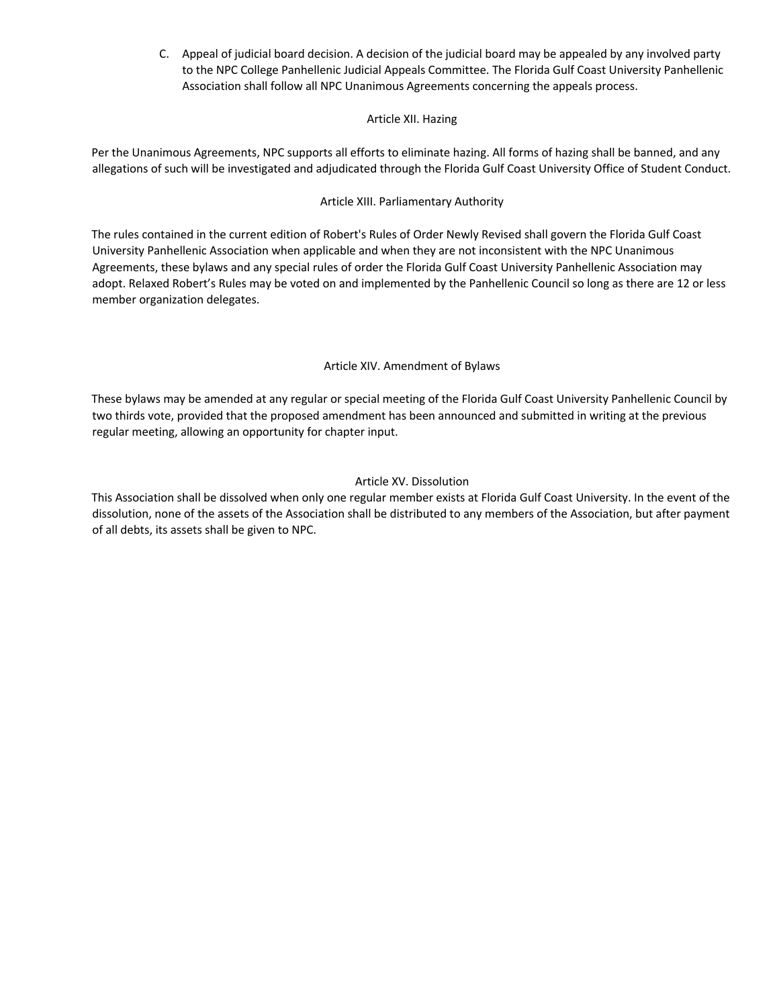C. Appeal of judicial board decision. A decision of the judicial board may be appealed by any involved party to the NPC College Panhellenic Judicial Appeals Committee. The Florida Gulf Coast University Panhellenic Association shall follow all NPC Unanimous Agreements concerning the appeals process.

# Article XII. Hazing

Per the Unanimous Agreements, NPC supports all efforts to eliminate hazing. All forms of hazing shall be banned, and any allegations of such will be investigated and adjudicated through the Florida Gulf Coast University Office of Student Conduct.

# Article XIII. Parliamentary Authority

The rules contained in the current edition of Robert's Rules of Order Newly Revised shall govern the Florida Gulf Coast University Panhellenic Association when applicable and when they are not inconsistent with the NPC Unanimous Agreements, these bylaws and any special rules of order the Florida Gulf Coast University Panhellenic Association may adopt. Relaxed Robert's Rules may be voted on and implemented by the Panhellenic Council so long as there are 12 or less member organization delegates.

# Article XIV. Amendment of Bylaws

These bylaws may be amended at any regular or special meeting of the Florida Gulf Coast University Panhellenic Council by two thirds vote, provided that the proposed amendment has been announced and submitted in writing at the previous regular meeting, allowing an opportunity for chapter input.

# Article XV. Dissolution

This Association shall be dissolved when only one regular member exists at Florida Gulf Coast University. In the event of the dissolution, none of the assets of the Association shall be distributed to any members of the Association, but after payment of all debts, its assets shall be given to NPC.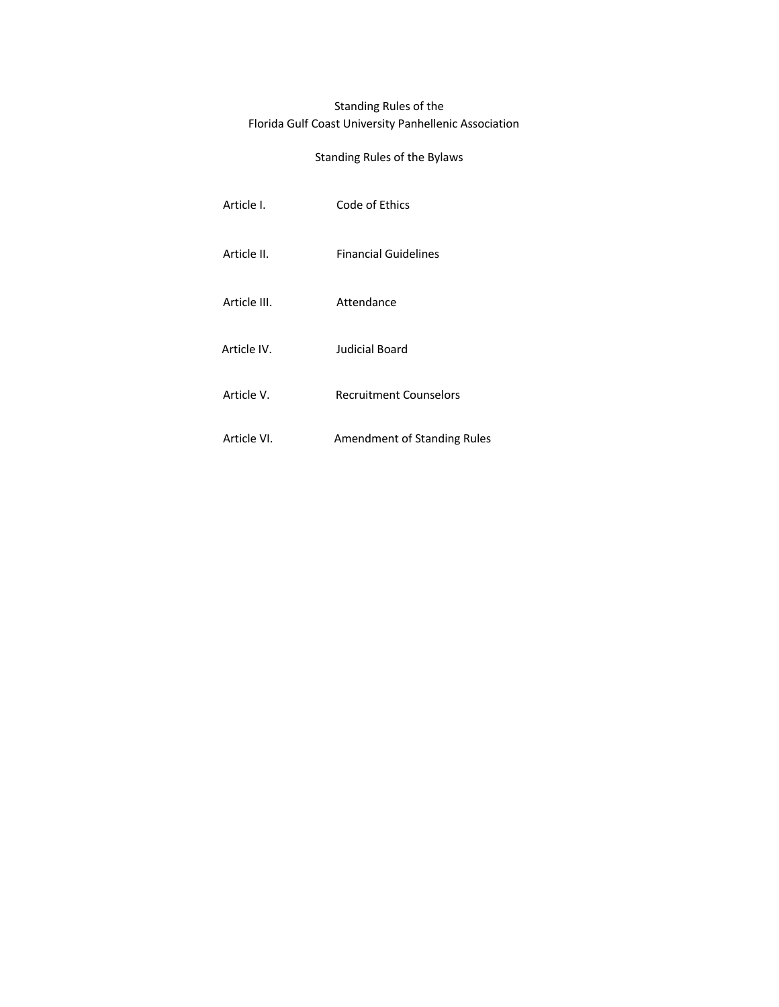# Standing Rules of the Florida Gulf Coast University Panhellenic Association

# Standing Rules of the Bylaws

| Article I.   | Code of Ethics                     |
|--------------|------------------------------------|
| Article II.  | <b>Financial Guidelines</b>        |
| Article III. | Attendance                         |
| Article IV.  | Judicial Board                     |
| Article V.   | <b>Recruitment Counselors</b>      |
| Article VI.  | <b>Amendment of Standing Rules</b> |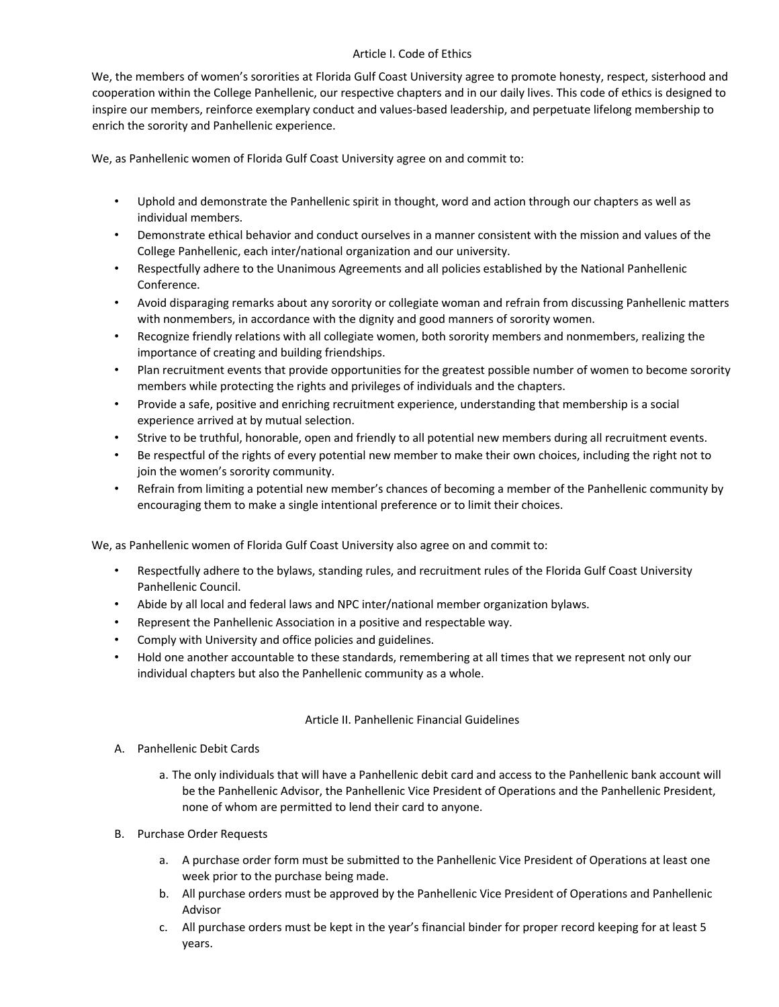# Article I. Code of Ethics

We, the members of women's sororities at Florida Gulf Coast University agree to promote honesty, respect, sisterhood and cooperation within the College Panhellenic, our respective chapters and in our daily lives. This code of ethics is designed to inspire our members, reinforce exemplary conduct and values-based leadership, and perpetuate lifelong membership to enrich the sorority and Panhellenic experience.

We, as Panhellenic women of Florida Gulf Coast University agree on and commit to:

- Uphold and demonstrate the Panhellenic spirit in thought, word and action through our chapters as well as individual members.
- Demonstrate ethical behavior and conduct ourselves in a manner consistent with the mission and values of the College Panhellenic, each inter/national organization and our university.
- Respectfully adhere to the Unanimous Agreements and all policies established by the National Panhellenic Conference.
- Avoid disparaging remarks about any sorority or collegiate woman and refrain from discussing Panhellenic matters with nonmembers, in accordance with the dignity and good manners of sorority women.
- Recognize friendly relations with all collegiate women, both sorority members and nonmembers, realizing the importance of creating and building friendships.
- Plan recruitment events that provide opportunities for the greatest possible number of women to become sorority members while protecting the rights and privileges of individuals and the chapters.
- Provide a safe, positive and enriching recruitment experience, understanding that membership is a social experience arrived at by mutual selection.
- Strive to be truthful, honorable, open and friendly to all potential new members during all recruitment events.
- Be respectful of the rights of every potential new member to make their own choices, including the right not to join the women's sorority community.
- Refrain from limiting a potential new member's chances of becoming a member of the Panhellenic community by encouraging them to make a single intentional preference or to limit their choices.

We, as Panhellenic women of Florida Gulf Coast University also agree on and commit to:

- Respectfully adhere to the bylaws, standing rules, and recruitment rules of the Florida Gulf Coast University Panhellenic Council.
- Abide by all local and federal laws and NPC inter/national member organization bylaws.
- Represent the Panhellenic Association in a positive and respectable way.
- Comply with University and office policies and guidelines.
- Hold one another accountable to these standards, remembering at all times that we represent not only our individual chapters but also the Panhellenic community as a whole.

# Article II. Panhellenic Financial Guidelines

- A. Panhellenic Debit Cards
	- a. The only individuals that will have a Panhellenic debit card and access to the Panhellenic bank account will be the Panhellenic Advisor, the Panhellenic Vice President of Operations and the Panhellenic President, none of whom are permitted to lend their card to anyone.
- B. Purchase Order Requests
	- a. A purchase order form must be submitted to the Panhellenic Vice President of Operations at least one week prior to the purchase being made.
	- b. All purchase orders must be approved by the Panhellenic Vice President of Operations and Panhellenic Advisor
	- c. All purchase orders must be kept in the year's financial binder for proper record keeping for at least 5 years.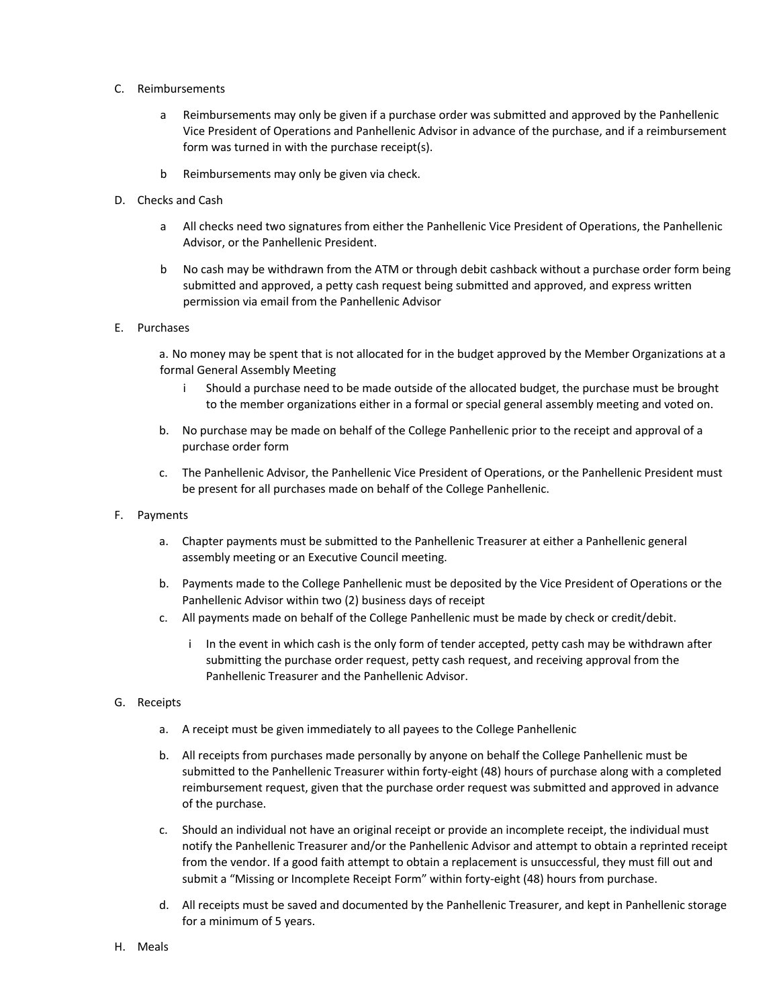- C. Reimbursements
	- a Reimbursements may only be given if a purchase order was submitted and approved by the Panhellenic Vice President of Operations and Panhellenic Advisor in advance of the purchase, and if a reimbursement form was turned in with the purchase receipt(s).
	- b Reimbursements may only be given via check.
- D. Checks and Cash
	- a All checks need two signatures from either the Panhellenic Vice President of Operations, the Panhellenic Advisor, or the Panhellenic President.
	- b No cash may be withdrawn from the ATM or through debit cashback without a purchase order form being submitted and approved, a petty cash request being submitted and approved, and express written permission via email from the Panhellenic Advisor
- E. Purchases

a. No money may be spent that is not allocated for in the budget approved by the Member Organizations at a formal General Assembly Meeting

- i Should a purchase need to be made outside of the allocated budget, the purchase must be brought to the member organizations either in a formal or special general assembly meeting and voted on.
- b. No purchase may be made on behalf of the College Panhellenic prior to the receipt and approval of a purchase order form
- c. The Panhellenic Advisor, the Panhellenic Vice President of Operations, or the Panhellenic President must be present for all purchases made on behalf of the College Panhellenic.
- F. Payments
	- a. Chapter payments must be submitted to the Panhellenic Treasurer at either a Panhellenic general assembly meeting or an Executive Council meeting.
	- b. Payments made to the College Panhellenic must be deposited by the Vice President of Operations or the Panhellenic Advisor within two (2) business days of receipt
	- c. All payments made on behalf of the College Panhellenic must be made by check or credit/debit.
		- i In the event in which cash is the only form of tender accepted, petty cash may be withdrawn after submitting the purchase order request, petty cash request, and receiving approval from the Panhellenic Treasurer and the Panhellenic Advisor.
- G. Receipts
	- a. A receipt must be given immediately to all payees to the College Panhellenic
	- b. All receipts from purchases made personally by anyone on behalf the College Panhellenic must be submitted to the Panhellenic Treasurer within forty-eight (48) hours of purchase along with a completed reimbursement request, given that the purchase order request was submitted and approved in advance of the purchase.
	- c. Should an individual not have an original receipt or provide an incomplete receipt, the individual must notify the Panhellenic Treasurer and/or the Panhellenic Advisor and attempt to obtain a reprinted receipt from the vendor. If a good faith attempt to obtain a replacement is unsuccessful, they must fill out and submit a "Missing or Incomplete Receipt Form" within forty-eight (48) hours from purchase.
	- d. All receipts must be saved and documented by the Panhellenic Treasurer, and kept in Panhellenic storage for a minimum of 5 years.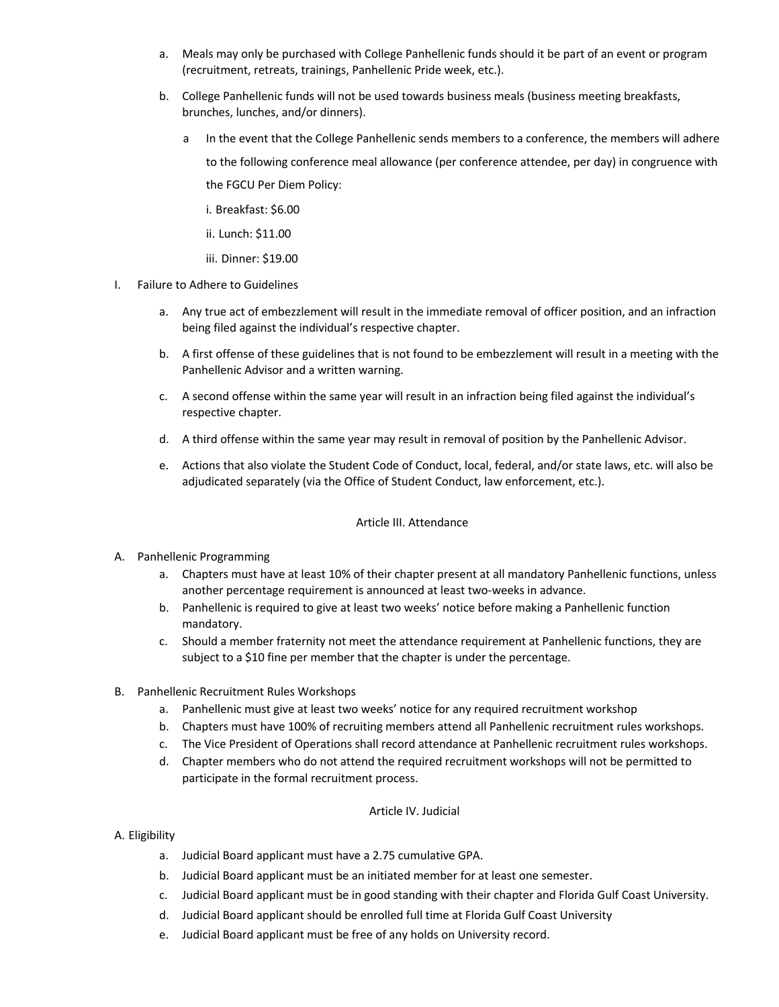- a. Meals may only be purchased with College Panhellenic funds should it be part of an event or program (recruitment, retreats, trainings, Panhellenic Pride week, etc.).
- b. College Panhellenic funds will not be used towards business meals (business meeting breakfasts, brunches, lunches, and/or dinners).
	- a In the event that the College Panhellenic sends members to a conference, the members will adhere to the following conference meal allowance (per conference attendee, per day) in congruence with the FGCU Per Diem Policy:
		- i. Breakfast: \$6.00
		- ii. Lunch: \$11.00
		- iii. Dinner: \$19.00
- I. Failure to Adhere to Guidelines
	- a. Any true act of embezzlement will result in the immediate removal of officer position, and an infraction being filed against the individual's respective chapter.
	- b. A first offense of these guidelines that is not found to be embezzlement will result in a meeting with the Panhellenic Advisor and a written warning.
	- c. A second offense within the same year will result in an infraction being filed against the individual's respective chapter.
	- d. A third offense within the same year may result in removal of position by the Panhellenic Advisor.
	- e. Actions that also violate the Student Code of Conduct, local, federal, and/or state laws, etc. will also be adjudicated separately (via the Office of Student Conduct, law enforcement, etc.).

# Article III. Attendance

- A. Panhellenic Programming
	- a. Chapters must have at least 10% of their chapter present at all mandatory Panhellenic functions, unless another percentage requirement is announced at least two-weeks in advance.
	- b. Panhellenic is required to give at least two weeks' notice before making a Panhellenic function mandatory.
	- c. Should a member fraternity not meet the attendance requirement at Panhellenic functions, they are subject to a \$10 fine per member that the chapter is under the percentage.
- B. Panhellenic Recruitment Rules Workshops
	- a. Panhellenic must give at least two weeks' notice for any required recruitment workshop
	- b. Chapters must have 100% of recruiting members attend all Panhellenic recruitment rules workshops.
	- c. The Vice President of Operations shall record attendance at Panhellenic recruitment rules workshops.
	- d. Chapter members who do not attend the required recruitment workshops will not be permitted to participate in the formal recruitment process.

# Article IV. Judicial

# A. Eligibility

- a. Judicial Board applicant must have a 2.75 cumulative GPA.
- b. Judicial Board applicant must be an initiated member for at least one semester.
- c. Judicial Board applicant must be in good standing with their chapter and Florida Gulf Coast University.
- d. Judicial Board applicant should be enrolled full time at Florida Gulf Coast University
- e. Judicial Board applicant must be free of any holds on University record.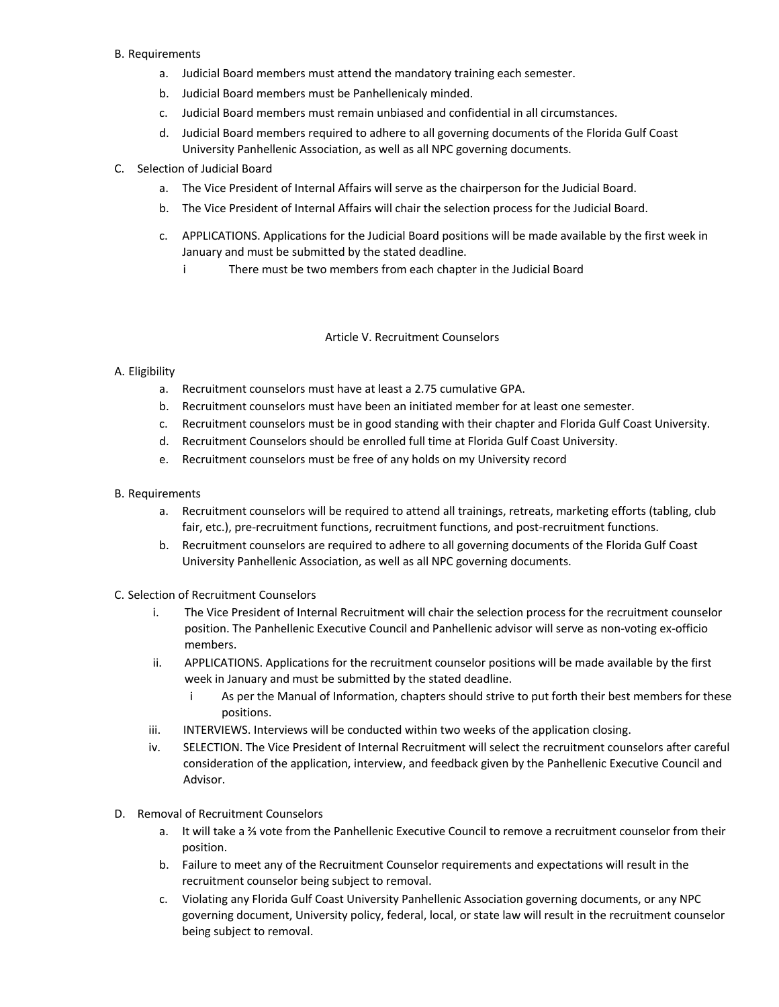# B. Requirements

- a. Judicial Board members must attend the mandatory training each semester.
- b. Judicial Board members must be Panhellenicaly minded.
- c. Judicial Board members must remain unbiased and confidential in all circumstances.
- d. Judicial Board members required to adhere to all governing documents of the Florida Gulf Coast University Panhellenic Association, as well as all NPC governing documents.

# C. Selection of Judicial Board

- a. The Vice President of Internal Affairs will serve as the chairperson for the Judicial Board.
- b. The Vice President of Internal Affairs will chair the selection process for the Judicial Board.
- c. APPLICATIONS. Applications for the Judicial Board positions will be made available by the first week in January and must be submitted by the stated deadline.
	- i There must be two members from each chapter in the Judicial Board

### Article V. Recruitment Counselors

# A. Eligibility

- a. Recruitment counselors must have at least a 2.75 cumulative GPA.
- b. Recruitment counselors must have been an initiated member for at least one semester.
- c. Recruitment counselors must be in good standing with their chapter and Florida Gulf Coast University.
- d. Recruitment Counselors should be enrolled full time at Florida Gulf Coast University.
- e. Recruitment counselors must be free of any holds on my University record

# B. Requirements

- a. Recruitment counselors will be required to attend all trainings, retreats, marketing efforts (tabling, club fair, etc.), pre-recruitment functions, recruitment functions, and post-recruitment functions.
- b. Recruitment counselors are required to adhere to all governing documents of the Florida Gulf Coast University Panhellenic Association, as well as all NPC governing documents.
- C. Selection of Recruitment Counselors
	- i. The Vice President of Internal Recruitment will chair the selection process for the recruitment counselor position. The Panhellenic Executive Council and Panhellenic advisor will serve as non-voting ex-officio members.
	- ii. APPLICATIONS. Applications for the recruitment counselor positions will be made available by the first week in January and must be submitted by the stated deadline.
		- i As per the Manual of Information, chapters should strive to put forth their best members for these positions.
	- iii. INTERVIEWS. Interviews will be conducted within two weeks of the application closing.
	- iv. SELECTION. The Vice President of Internal Recruitment will select the recruitment counselors after careful consideration of the application, interview, and feedback given by the Panhellenic Executive Council and Advisor.
- D. Removal of Recruitment Counselors
	- a. It will take a ⅔ vote from the Panhellenic Executive Council to remove a recruitment counselor from their position.
	- b. Failure to meet any of the Recruitment Counselor requirements and expectations will result in the recruitment counselor being subject to removal.
	- c. Violating any Florida Gulf Coast University Panhellenic Association governing documents, or any NPC governing document, University policy, federal, local, or state law will result in the recruitment counselor being subject to removal.